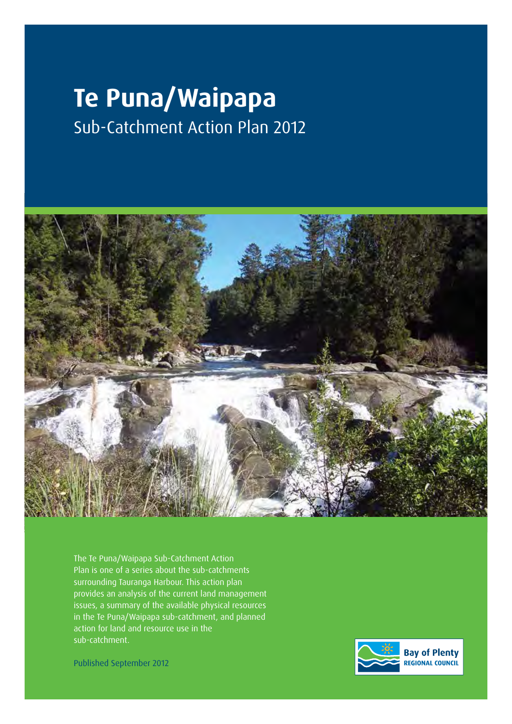# **Te Puna/Waipapa** Sub-Catchment Action Plan 2012



The Te Puna/Waipapa Sub-Catchment Action Plan is one of a series about the sub-catchments surrounding Tauranga Harbour. This action plan provides an analysis of the current land management issues, a summary of the available physical resources in the Te Puna/Waipapa sub-catchment, and planned action for land and resource use in the sub-catchment.

Published September 2012

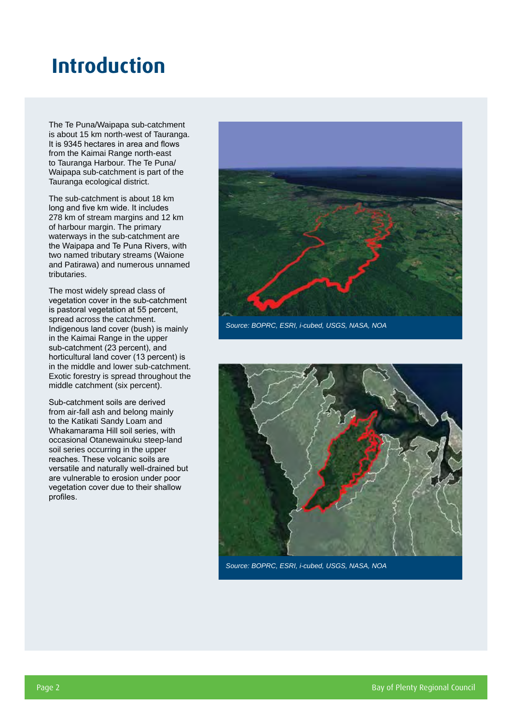## **Introduction**

The Te Puna/Waipapa sub-catchment is about 15 km north-west of Tauranga. It is 9345 hectares in area and flows from the Kaimai Range north-east to Tauranga Harbour. The Te Puna/ Waipapa sub-catchment is part of the Tauranga ecological district.

The sub-catchment is about 18 km long and five km wide. It includes 278 km of stream margins and 12 km of harbour margin. The primary waterways in the sub-catchment are the Waipapa and Te Puna Rivers, with two named tributary streams (Waione and Patirawa) and numerous unnamed tributaries.

The most widely spread class of vegetation cover in the sub-catchment is pastoral vegetation at 55 percent, spread across the catchment. Indigenous land cover (bush) is mainly in the Kaimai Range in the upper sub-catchment (23 percent), and horticultural land cover (13 percent) is in the middle and lower sub-catchment. Exotic forestry is spread throughout the middle catchment (six percent).

Sub-catchment soils are derived from air-fall ash and belong mainly to the Katikati Sandy Loam and Whakamarama Hill soil series, with occasional Otanewainuku steep-land soil series occurring in the upper reaches. These volcanic soils are versatile and naturally well-drained but are vulnerable to erosion under poor vegetation cover due to their shallow profiles.



*Source: BOPRC, ESRI, i-cubed, USGS, NASA, NOA*



*Source: BOPRC, ESRI, i-cubed, USGS, NASA, NOA*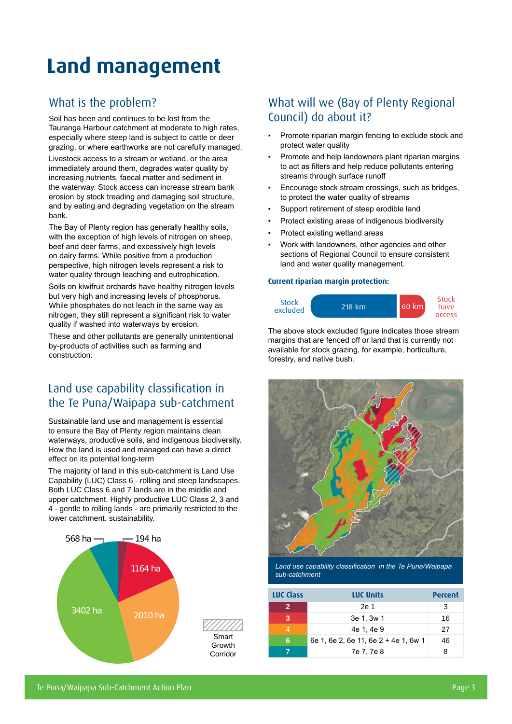## **Land management**

### What is the problem?

Soil has been and continues to be lost from the Tauranga Harbour catchment at moderate to high rates, especially where steep land is subject to cattle or deer grazing, or where earthworks are not carefully managed.

Livestock access to a stream or wetland, or the area immediately around them, degrades water quality by increasing nutrients, faecal matter and sediment in the waterway. Stock access can increase stream bank erosion by stock treading and damaging soil structure, and by eating and degrading vegetation on the stream bank.

The Bay of Plenty region has generally healthy soils, with the exception of high levels of nitrogen on sheep, beef and deer farms, and excessively high levels on dairy farms. While positive from a production perspective, high nitrogen levels represent a risk to water quality through leaching and eutrophication.

Soils on kiwifruit orchards have healthy nitrogen levels but very high and increasing levels of phosphorus. While phosphates do not leach in the same way as nitrogen, they still represent a significant risk to water quality if washed into waterways by erosion.

These and other pollutants are generally unintentional by-products of activities such as farming and construction.

## Land use capability classification in the Te Puna/Waipapa sub-catchment

Sustainable land use and management is essential to ensure the Bay of Plenty region maintains clean waterways, productive soils, and indigenous biodiversity. How the land is used and managed can have a direct effect on its potential long-term

The majority of land in this sub-catchment is Land Use Capability (LUC) Class 6 - rolling and steep landscapes. Both LUC Class 6 and 7 lands are in the middle and upper catchment. Highly productive LUC Class 2, 3 and 4 - gentle to rolling lands - are primarily restricted to the lower catchment. sustainability.



### What will we (Bay of Plenty Regional Council) do about it?

- Promote riparian margin fencing to exclude stock and protect water quality
- Promote and help landowners plant riparian margins to act as filters and help reduce pollutants entering streams through surface runoff
- Encourage stock stream crossings, such as bridges, to protect the water quality of streams
- Support retirement of steep erodible land
- Protect existing areas of indigenous biodiversity
- Protect existing wetland areas
- Work with landowners, other agencies and other sections of Regional Council to ensure consistent land and water quality management.

#### **Current riparian margin protection:**



The above stock excluded figure indicates those stream margins that are fenced off or land that is currently not available for stock grazing, for example, horticulture, forestry, and native bush.



*Land use capability classification in the Te Puna/Waipapa sub-catchment*

| <b>LUC Class</b> | <b>LUC Units</b>                     | <b>Percent</b> |
|------------------|--------------------------------------|----------------|
| 2                | 2e 1                                 | 3              |
| 3                | 3e 1, 3w 1                           | 16             |
|                  | 4e 1, 4e 9                           | 27             |
| 6                | 6e 1, 6e 2, 6e 11, 6e 2 + 4e 1, 6w 1 | 46             |
|                  | 7e 7, 7e 8                           | 8              |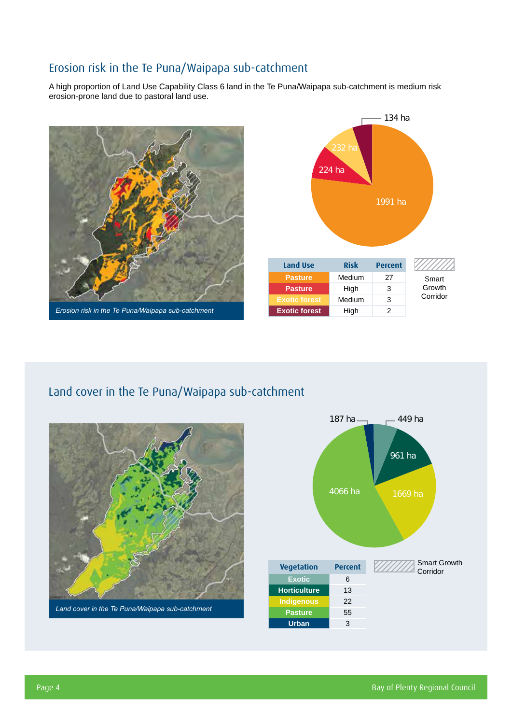### Erosion risk in the Te Puna/Waipapa sub-catchment

A high proportion of Land Use Capability Class 6 land in the Te Puna/Waipapa sub-catchment is medium risk erosion-prone land due to pastoral land use.





## Land cover in the Te Puna/Waipapa sub-catchment



*Land cover in the Te Puna/Waipapa sub-catchment*

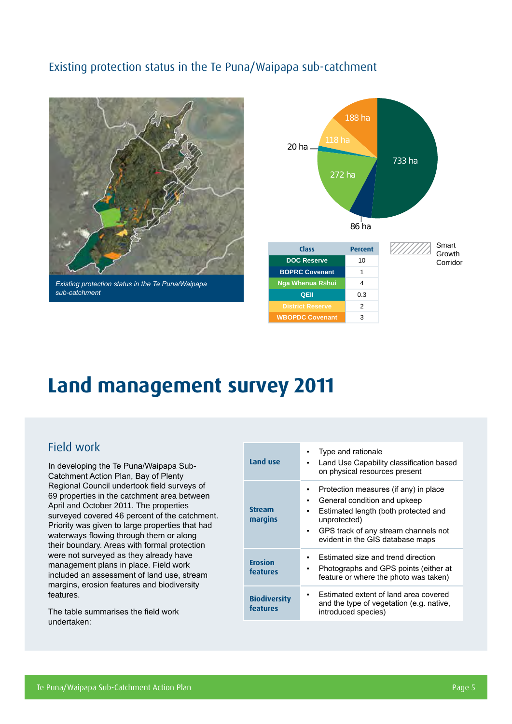### Existing protection status in the Te Puna/Waipapa sub-catchment



*Existing protection status in the Te Puna/Waipapa sub-catchment*



| Class                   | <b>Percent</b> |
|-------------------------|----------------|
| <b>DOC Reserve</b>      | 10             |
| <b>BOPRC Covenant</b>   | 1              |
| Nga Whenua Rāhui        | 4              |
| QEII                    | 0.3            |
| <b>District Reserve</b> | 2              |
| <b>WBOPDC Covenant</b>  | 3              |

#### Growth Corridor

## **Land management survey 2011**

### Field work

In developing the Te Puna/Waipapa Sub-Catchment Action Plan, Bay of Plenty Regional Council undertook field surveys of 69 properties in the catchment area between April and October 2011. The properties surveyed covered 46 percent of the catchment. Priority was given to large properties that had waterways flowing through them or along their boundary. Areas with formal protection were not surveyed as they already have management plans in place. Field work included an assessment of land use, stream margins, erosion features and biodiversity features.

The table summarises the field work undertaken:

| Land use                        | Type and rationale<br>Land Use Capability classification based<br>on physical resources present                                                                                                                     |
|---------------------------------|---------------------------------------------------------------------------------------------------------------------------------------------------------------------------------------------------------------------|
| <b>Stream</b><br>margins        | Protection measures (if any) in place<br>General condition and upkeep<br>٠<br>Estimated length (both protected and<br>unprotected)<br>GPS track of any stream channels not<br>٠<br>evident in the GIS database maps |
| <b>Erosion</b><br>features      | Estimated size and trend direction<br>Photographs and GPS points (either at<br>feature or where the photo was taken)                                                                                                |
| <b>Biodiversity</b><br>features | Estimated extent of land area covered<br>and the type of vegetation (e.g. native,<br>introduced species)                                                                                                            |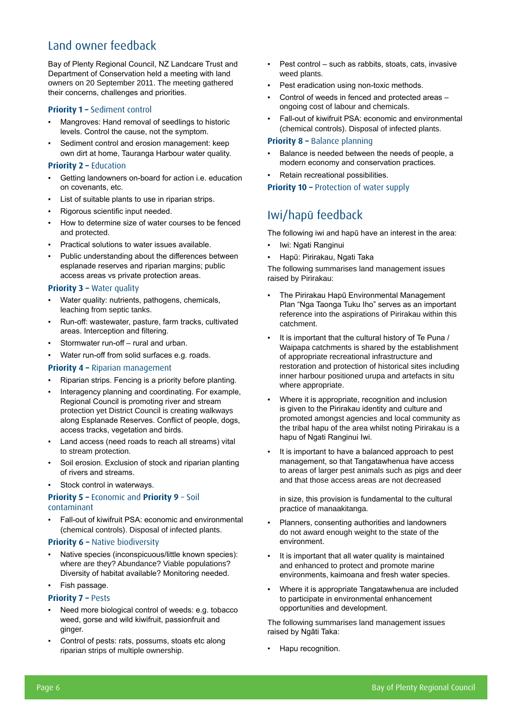## Land owner feedback

Bay of Plenty Regional Council, NZ Landcare Trust and Department of Conservation held a meeting with land owners on 20 September 2011. The meeting gathered their concerns, challenges and priorities.

#### **Priority 1 – Sediment control**

- Mangroves: Hand removal of seedlings to historic levels. Control the cause, not the symptom.
- Sediment control and erosion management: keep own dirt at home, Tauranga Harbour water quality.

#### **Priority 2 – Education**

- Getting landowners on-board for action i.e. education on covenants, etc.
- List of suitable plants to use in riparian strips.
- Rigorous scientific input needed.
- How to determine size of water courses to be fenced and protected.
- Practical solutions to water issues available.
- Public understanding about the differences between esplanade reserves and riparian margins; public access areas vs private protection areas.

#### **Priority 3 – Water quality**

- Water quality: nutrients, pathogens, chemicals, leaching from septic tanks.
- Run-off: wastewater, pasture, farm tracks, cultivated areas. Interception and filtering.
- Stormwater run-off rural and urban.
- Water run-off from solid surfaces e.g. roads.

#### **Priority 4 –** Riparian management

- Riparian strips. Fencing is a priority before planting.
- Interagency planning and coordinating. For example, Regional Council is promoting river and stream protection yet District Council is creating walkways along Esplanade Reserves. Conflict of people, dogs, access tracks, vegetation and birds.
- Land access (need roads to reach all streams) vital to stream protection.
- Soil erosion. Exclusion of stock and riparian planting of rivers and streams.
- Stock control in waterways.

#### **Priority 5 –** Economic and **Priority 9** – Soil contaminant

Fall-out of kiwifruit PSA: economic and environmental (chemical controls). Disposal of infected plants.

#### **Priority 6 – Native biodiversity**

- Native species (inconspicuous/little known species): where are they? Abundance? Viable populations? Diversity of habitat available? Monitoring needed.
- Fish passage.

#### **Priority 7 – Pests**

- Need more biological control of weeds: e.g. tobacco weed, gorse and wild kiwifruit, passionfruit and ginger.
- Control of pests: rats, possums, stoats etc along riparian strips of multiple ownership.
- Pest control such as rabbits, stoats, cats, invasive weed plants.
- Pest eradication using non-toxic methods.
- Control of weeds in fenced and protected areas ongoing cost of labour and chemicals.
- **Fall-out of kiwifruit PSA: economic and environmental** (chemical controls). Disposal of infected plants.

#### **Priority 8 –** Balance planning

- Balance is needed between the needs of people, a modern economy and conservation practices.
- Retain recreational possibilities.

#### **Priority 10 –** Protection of water supply

### Iwi/hapū feedback

The following iwi and hapū have an interest in the area:

- Iwi: Ngati Ranginui
- Hapū: Pirirakau, Ngati Taka

The following summarises land management issues raised by Pirirakau:

- The Pirirakau Hapū Environmental Management Plan "Nga Taonga Tuku Iho" serves as an important reference into the aspirations of Pirirakau within this catchment.
- It is important that the cultural history of Te Puna / Waipapa catchments is shared by the establishment of appropriate recreational infrastructure and restoration and protection of historical sites including inner harbour positioned urupa and artefacts in situ where appropriate.
- Where it is appropriate, recognition and inclusion is given to the Pirirakau identity and culture and promoted amongst agencies and local community as the tribal hapu of the area whilst noting Pirirakau is a hapu of Ngati Ranginui Iwi.
- It is important to have a balanced approach to pest management, so that Tangatawhenua have access to areas of larger pest animals such as pigs and deer and that those access areas are not decreased

in size, this provision is fundamental to the cultural practice of manaakitanga.

- Planners, consenting authorities and landowners do not award enough weight to the state of the environment.
- It is important that all water quality is maintained and enhanced to protect and promote marine environments, kaimoana and fresh water species.
- Where it is appropriate Tangatawhenua are included to participate in environmental enhancement opportunities and development.

The following summarises land management issues raised by Ngāti Taka:

• Hapu recognition.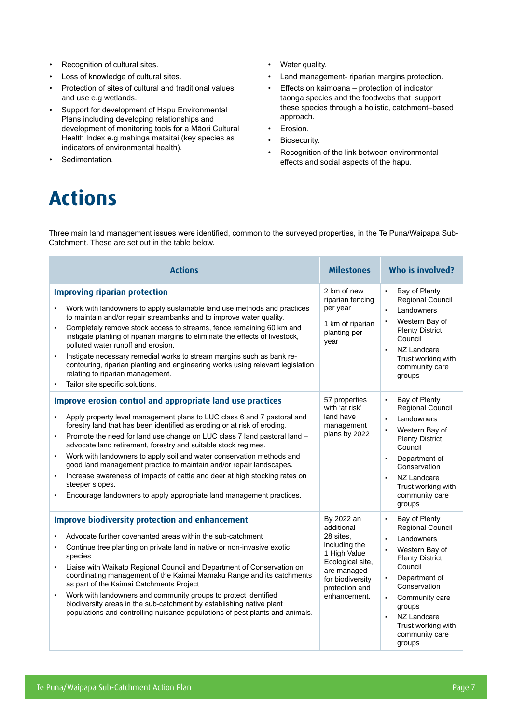- Recognition of cultural sites.
- Loss of knowledge of cultural sites.
- Protection of sites of cultural and traditional values and use e.g wetlands.
- Support for development of Hapu Environmental Plans including developing relationships and development of monitoring tools for a Māori Cultural Health Index e.g mahinga mataitai (key species as indicators of environmental health).
- Sedimentation.
- Water quality.
- Land management- riparian margins protection.
- Effects on kaimoana protection of indicator taonga species and the foodwebs that support these species through a holistic, catchment–based approach.
- Erosion.
- Biosecurity.
- Recognition of the link between environmental effects and social aspects of the hapu.

## **Actions**

Three main land management issues were identified, common to the surveyed properties, in the Te Puna/Waipapa Sub-Catchment. These are set out in the table below.

| <b>Actions</b>                                                                                                                                                                                                                                                                                                                                                                                                                                                                                                                                                                                                                                                                                          | <b>Milestones</b>                                                                                                                                               | Who is involved?                                                                                                                                                                                                                                                   |  |  |  |
|---------------------------------------------------------------------------------------------------------------------------------------------------------------------------------------------------------------------------------------------------------------------------------------------------------------------------------------------------------------------------------------------------------------------------------------------------------------------------------------------------------------------------------------------------------------------------------------------------------------------------------------------------------------------------------------------------------|-----------------------------------------------------------------------------------------------------------------------------------------------------------------|--------------------------------------------------------------------------------------------------------------------------------------------------------------------------------------------------------------------------------------------------------------------|--|--|--|
| <b>Improving riparian protection</b><br>Work with landowners to apply sustainable land use methods and practices<br>to maintain and/or repair streambanks and to improve water quality.<br>Completely remove stock access to streams, fence remaining 60 km and<br>$\blacksquare$<br>instigate planting of riparian margins to eliminate the effects of livestock,<br>polluted water runoff and erosion.<br>Instigate necessary remedial works to stream margins such as bank re-<br>$\blacksquare$<br>contouring, riparian planting and engineering works using relevant legislation<br>relating to riparian management.<br>Tailor site specific solutions.                                            | 2 km of new<br>riparian fencing<br>per year<br>1 km of riparian<br>planting per<br>year                                                                         | Bay of Plenty<br>$\blacksquare$<br><b>Regional Council</b><br>Landowners<br>Western Bay of<br><b>Plenty District</b><br>Council<br>NZ Landcare<br>$\blacksquare$<br>Trust working with<br>community care<br>groups                                                 |  |  |  |
| Improve erosion control and appropriate land use practices<br>Apply property level management plans to LUC class 6 and 7 pastoral and<br>٠<br>forestry land that has been identified as eroding or at risk of eroding.<br>Promote the need for land use change on LUC class 7 land pastoral land -<br>٠<br>advocate land retirement, forestry and suitable stock regimes.<br>Work with landowners to apply soil and water conservation methods and<br>٠<br>good land management practice to maintain and/or repair landscapes.<br>Increase awareness of impacts of cattle and deer at high stocking rates on<br>steeper slopes.<br>Encourage landowners to apply appropriate land management practices. | 57 properties<br>with 'at risk'<br>land have<br>management<br>plans by 2022                                                                                     | Bay of Plenty<br>$\blacksquare$<br>Regional Council<br>Landowners<br>Western Bay of<br><b>Plenty District</b><br>Council<br>Department of<br>$\blacksquare$<br>Conservation<br>NZ Landcare<br>$\blacksquare$<br>Trust working with<br>community care<br>groups     |  |  |  |
| <b>Improve biodiversity protection and enhancement</b><br>Advocate further covenanted areas within the sub-catchment<br>Continue tree planting on private land in native or non-invasive exotic<br>$\blacksquare$<br>species<br>Liaise with Waikato Regional Council and Department of Conservation on<br>٠<br>coordinating management of the Kaimai Mamaku Range and its catchments<br>as part of the Kaimai Catchments Project<br>Work with landowners and community groups to protect identified<br>biodiversity areas in the sub-catchment by establishing native plant<br>populations and controlling nuisance populations of pest plants and animals.                                             | By 2022 an<br>additional<br>28 sites,<br>including the<br>1 High Value<br>Ecological site,<br>are managed<br>for biodiversity<br>protection and<br>enhancement. | Bay of Plenty<br>٠<br><b>Regional Council</b><br>Landowners<br>Western Bay of<br><b>Plenty District</b><br>Council<br>Department of<br>$\blacksquare$<br>Conservation<br>Community care<br>groups<br>NZ Landcare<br>Trust working with<br>community care<br>groups |  |  |  |